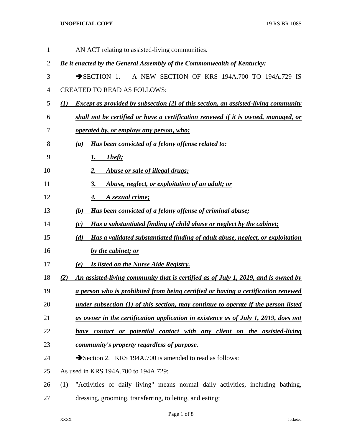| $\mathbf 1$ | AN ACT relating to assisted-living communities.                                                  |
|-------------|--------------------------------------------------------------------------------------------------|
| 2           | Be it enacted by the General Assembly of the Commonwealth of Kentucky:                           |
| 3           | A NEW SECTION OF KRS 194A.700 TO 194A.729 IS<br>$\rightarrow$ SECTION 1.                         |
| 4           | <b>CREATED TO READ AS FOLLOWS:</b>                                                               |
| 5           | <b>Except as provided by subsection (2) of this section, an assisted-living community</b><br>(I) |
| 6           | shall not be certified or have a certification renewed if it is owned, managed, or               |
| 7           | <u>operated by, or employs any person, who:</u>                                                  |
| 8           | Has been convicted of a felony offense related to:<br>(a)                                        |
| 9           | <b>Theft</b> ;<br><u>1.</u>                                                                      |
| 10          | Abuse or sale of illegal drugs;<br>2.                                                            |
| 11          | Abuse, neglect, or exploitation of an adult; or<br>3.                                            |
| 12          | A sexual crime;<br>4.                                                                            |
| 13          | Has been convicted of a felony offense of criminal abuse;<br>(b)                                 |
| 14          | Has a substantiated finding of child abuse or neglect by the cabinet;<br>(c)                     |
| 15          | Has a validated substantiated finding of adult abuse, neglect, or exploitation<br>(d)            |
| 16          | by the cabinet; or                                                                               |
| 17          | Is listed on the Nurse Aide Registry.<br>(e)                                                     |
| 18          | An assisted-living community that is certified as of July 1, 2019, and is owned by<br>(2)        |
| 19          | a person who is prohibited from being certified or having a certification renewed                |
| 20          | <u>under subsection (1) of this section, may continue to operate if the person listed</u>        |
| 21          | as owner in the certification application in existence as of July 1, 2019, does not              |
| 22          | have contact or potential contact with any client on the assisted-living                         |
| 23          | community's property regardless of purpose.                                                      |
| 24          | Section 2. KRS 194A.700 is amended to read as follows:                                           |
| 25          | As used in KRS 194A.700 to 194A.729:                                                             |
| 26          | "Activities of daily living" means normal daily activities, including bathing,<br>(1)            |
| 27          | dressing, grooming, transferring, toileting, and eating;                                         |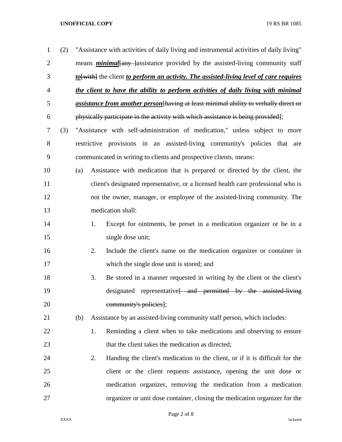| $\mathbf{1}$   | (2) |     |    | "Assistance with activities of daily living and instrumental activities of daily living"     |
|----------------|-----|-----|----|----------------------------------------------------------------------------------------------|
| $\overline{2}$ |     |     |    | means <b>minimal</b> any assistance provided by the assisted-living community staff          |
| 3              |     |     |    | to [with] the client to perform an activity. The assisted-living level of care requires      |
| $\overline{4}$ |     |     |    | the client to have the ability to perform activities of daily living with minimal            |
| 5              |     |     |    | <i>assistance from another person</i> [having at least minimal ability to verbally direct or |
| 6              |     |     |    | physically participate in the activity with which assistance is being provided];             |
| 7              | (3) |     |    | "Assistance with self-administration of medication," unless subject to more                  |
| 8              |     |     |    | restrictive provisions in an assisted-living community's policies that are                   |
| 9              |     |     |    | communicated in writing to clients and prospective clients, means:                           |
| 10             |     | (a) |    | Assistance with medication that is prepared or directed by the client, the                   |
| 11             |     |     |    | client's designated representative, or a licensed health care professional who is            |
| 12             |     |     |    | not the owner, manager, or employee of the assisted-living community. The                    |
| 13             |     |     |    | medication shall:                                                                            |
| 14             |     |     | 1. | Except for ointments, be preset in a medication organizer or be in a                         |
| 15             |     |     |    | single dose unit;                                                                            |
| 16             |     |     | 2. | Include the client's name on the medication organizer or container in                        |
| 17             |     |     |    | which the single dose unit is stored; and                                                    |
| 18             |     |     | 3. | Be stored in a manner requested in writing by the client or the client's                     |
| 19             |     |     |    | designated representative <del> and permitted by the assisted-living</del>                   |
| 20             |     |     |    | community's policies];                                                                       |
| 21             |     | (b) |    | Assistance by an assisted-living community staff person, which includes:                     |
| 22             |     |     | 1. | Reminding a client when to take medications and observing to ensure                          |
| 23             |     |     |    | that the client takes the medication as directed;                                            |
| 24             |     |     | 2. | Handing the client's medication to the client, or if it is difficult for the                 |
| 25             |     |     |    | client or the client requests assistance, opening the unit dose or                           |
| 26             |     |     |    | medication organizer, removing the medication from a medication                              |
| 27             |     |     |    | organizer or unit dose container, closing the medication organizer for the                   |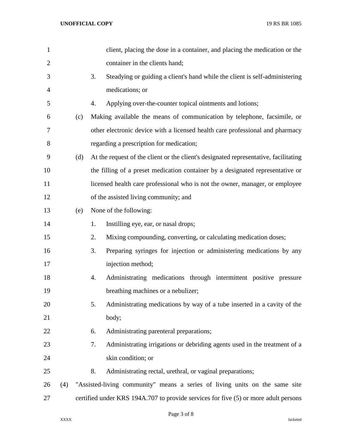| $\mathbf{1}$   |     | client, placing the dose in a container, and placing the medication or the           |
|----------------|-----|--------------------------------------------------------------------------------------|
| $\overline{2}$ |     | container in the clients hand;                                                       |
| 3              |     | Steadying or guiding a client's hand while the client is self-administering<br>3.    |
| 4              |     | medications; or                                                                      |
| 5              |     | Applying over-the-counter topical ointments and lotions;<br>4.                       |
| 6              | (c) | Making available the means of communication by telephone, facsimile, or              |
| 7              |     | other electronic device with a licensed health care professional and pharmacy        |
| 8              |     | regarding a prescription for medication;                                             |
| 9              | (d) | At the request of the client or the client's designated representative, facilitating |
| 10             |     | the filling of a preset medication container by a designated representative or       |
| 11             |     | licensed health care professional who is not the owner, manager, or employee         |
| 12             |     | of the assisted living community; and                                                |
| 13             | (e) | None of the following:                                                               |
| 14             |     | Instilling eye, ear, or nasal drops;<br>1.                                           |
| 15             |     | Mixing compounding, converting, or calculating medication doses;<br>2.               |
| 16             |     | Preparing syringes for injection or administering medications by any<br>3.           |
| 17             |     | injection method;                                                                    |
| 18             |     | Administrating medications through intermittent positive pressure<br>4.              |
| 19             |     | breathing machines or a nebulizer;                                                   |
| 20             |     | Administrating medications by way of a tube inserted in a cavity of the<br>5.        |
| 21             |     | body;                                                                                |
| 22             |     | Administrating parenteral preparations;<br>6.                                        |
| 23             |     | 7.<br>Administrating irrigations or debriding agents used in the treatment of a      |
| 24             |     | skin condition; or                                                                   |
| 25             |     | 8.<br>Administrating rectal, urethral, or vaginal preparations;                      |
| 26             | (4) | "Assisted-living community" means a series of living units on the same site          |
| 27             |     | certified under KRS 194A.707 to provide services for five (5) or more adult persons  |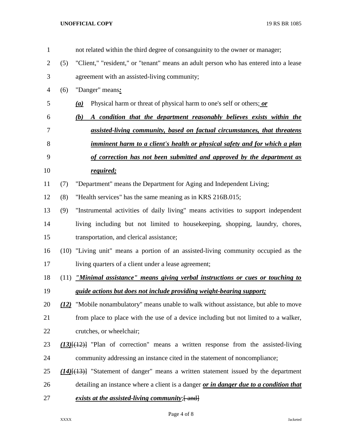| $\mathbf{1}$   |     | not related within the third degree of consanguinity to the owner or manager;              |
|----------------|-----|--------------------------------------------------------------------------------------------|
| $\overline{2}$ | (5) | "Client," "resident," or "tenant" means an adult person who has entered into a lease       |
| 3              |     | agreement with an assisted-living community;                                               |
| 4              | (6) | "Danger" means:                                                                            |
| 5              |     | Physical harm or threat of physical harm to one's self or others; or<br>(a)                |
| 6              |     | A condition that the department reasonably believes exists within the<br>(b)               |
| 7              |     | assisted-living community, based on factual circumstances, that threatens                  |
| 8              |     | imminent harm to a client's health or physical safety and for which a plan                 |
| 9              |     | of correction has not been submitted and approved by the department as                     |
| 10             |     | required;                                                                                  |
| 11             | (7) | "Department" means the Department for Aging and Independent Living;                        |
| 12             | (8) | "Health services" has the same meaning as in KRS 216B.015;                                 |
| 13             | (9) | "Instrumental activities of daily living" means activities to support independent          |
| 14             |     | living including but not limited to housekeeping, shopping, laundry, chores,               |
| 15             |     | transportation, and clerical assistance;                                                   |
| 16             |     | (10) "Living unit" means a portion of an assisted-living community occupied as the         |
| 17             |     | living quarters of a client under a lease agreement;                                       |
| 18             |     | (11) <i>"Minimal assistance" means giving verbal instructions or cues or touching to</i>   |
| 19             |     | guide actions but does not include providing weight-bearing support;                       |
| 20             |     | (12) "Mobile nonambulatory" means unable to walk without assistance, but able to move      |
| 21             |     | from place to place with the use of a device including but not limited to a walker,        |
| 22             |     | crutches, or wheelchair;                                                                   |
| 23             |     | $(13)$ [ $(12)$ ] "Plan of correction" means a written response from the assisted-living   |
| 24             |     | community addressing an instance cited in the statement of noncompliance;                  |
| 25             |     | $(14)$ [ $(13)$ ] "Statement of danger" means a written statement issued by the department |
| 26             |     | detailing an instance where a client is a danger or in danger due to a condition that      |
| 27             |     | exists at the assisted-living community; [and]                                             |

Page 4 of 8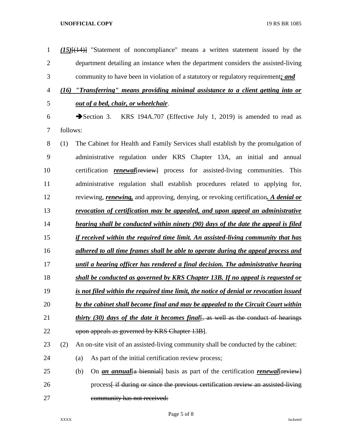| $\mathbf{1}$   |          | $(15)$ [ $(14)$ ] "Statement of noncompliance" means a written statement issued by the             |
|----------------|----------|----------------------------------------------------------------------------------------------------|
| $\overline{2}$ |          | department detailing an instance when the department considers the assisted-living                 |
| 3              |          | community to have been in violation of a statutory or regulatory requirement; and                  |
| 4              | (16)     | "Transferring" means providing minimal assistance to a client getting into or                      |
| 5              |          | out of a bed, chair, or wheelchair.                                                                |
| 6              |          | Section 3. KRS 194A.707 (Effective July 1, 2019) is amended to read as                             |
| 7              | follows: |                                                                                                    |
| 8              | (1)      | The Cabinet for Health and Family Services shall establish by the promulgation of                  |
| 9              |          | administrative regulation under KRS Chapter 13A, an initial and annual                             |
| 10             |          | certification <i>renewal</i> [review] process for assisted-living communities. This                |
| 11             |          | administrative regulation shall establish procedures related to applying for,                      |
| 12             |          | reviewing, <i>renewing</i> , and approving, denying, or revoking certification. A <i>denial or</i> |
| 13             |          | revocation of certification may be appealed, and upon appeal an administrative                     |
| 14             |          | hearing shall be conducted within ninety (90) days of the date the appeal is filed                 |
| 15             |          | if received within the required time limit. An assisted-living community that has                  |
| 16             |          | adhered to all time frames shall be able to operate during the appeal process and                  |
| 17             |          | until a hearing officer has rendered a final decision. The administrative hearing                  |
| 18             |          | shall be conducted as governed by KRS Chapter 13B. If no appeal is requested or                    |
| 19             |          | is not filed within the required time limit, the notice of denial or revocation issued             |
| 20             |          | by the cabinet shall become final and may be appealed to the Circuit Court within                  |
| 21             |          | <i>thirty (30) days of the date it becomes final</i> , as well as the conduct of hearings          |
| 22             |          | upon appeals as governed by KRS Chapter 13B.                                                       |
| 23             | (2)      | An on-site visit of an assisted-living community shall be conducted by the cabinet:                |
| 24             |          | As part of the initial certification review process;<br>(a)                                        |
| 25             |          | On <i>an annual</i> {a biennial} basis as part of the certification <i>renewal</i> {review}<br>(b) |
| 26             |          | process if during or since the previous certification review an assisted-living                    |
| 27             |          | community has not received:                                                                        |

Page 5 of 8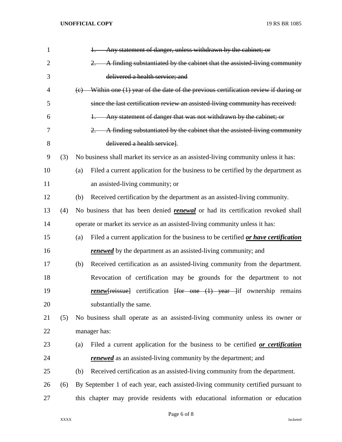| $\mathbf{1}$   |     | Any statement of danger, unless withdrawn by the cabinet; or                                                 |
|----------------|-----|--------------------------------------------------------------------------------------------------------------|
| $\overline{2}$ |     | A finding substantiated by the cabinet that the assisted-living community                                    |
| 3              |     | delivered a health service; and                                                                              |
| 4              |     | Within one (1) year of the date of the previous certification review if during or<br>$\left(\epsilon\right)$ |
| 5              |     | since the last certification review an assisted-living community has received:                               |
| 6              |     | Any statement of danger that was not withdrawn by the cabinet; or                                            |
| 7              |     | A finding substantiated by the cabinet that the assisted living community<br>$2$ .                           |
| 8              |     | delivered a health service.                                                                                  |
| 9              | (3) | No business shall market its service as an assisted-living community unless it has:                          |
| 10             |     | Filed a current application for the business to be certified by the department as<br>(a)                     |
| 11             |     | an assisted-living community; or                                                                             |
| 12             |     | Received certification by the department as an assisted-living community.<br>(b)                             |
| 13             | (4) | No business that has been denied <b>renewal</b> or had its certification revoked shall                       |
| 14             |     | operate or market its service as an assisted-living community unless it has:                                 |
| 15             |     | Filed a current application for the business to be certified or have certification<br>(a)                    |
| 16             |     | <b>renewed</b> by the department as an assisted-living community; and                                        |
| 17             |     | Received certification as an assisted-living community from the department.<br>(b)                           |
| 18             |     | Revocation of certification may be grounds for the department to not                                         |
| 19             |     | <b>renew</b> [reissue] certification [for one (1) year ]if ownership remains                                 |
| 20             |     | substantially the same.                                                                                      |
| 21             | (5) | No business shall operate as an assisted-living community unless its owner or                                |
| 22             |     | manager has:                                                                                                 |
| 23             |     | Filed a current application for the business to be certified or certification<br>(a)                         |
| 24             |     | <b>renewed</b> as an assisted-living community by the department; and                                        |
| 25             |     | Received certification as an assisted-living community from the department.<br>(b)                           |
| 26             | (6) | By September 1 of each year, each assisted-living community certified pursuant to                            |
| 27             |     | this chapter may provide residents with educational information or education                                 |

Page 6 of 8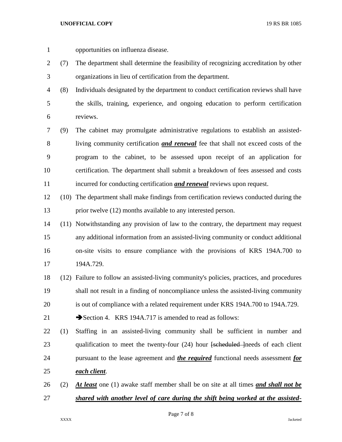opportunities on influenza disease.

- (7) The department shall determine the feasibility of recognizing accreditation by other organizations in lieu of certification from the department.
- (8) Individuals designated by the department to conduct certification reviews shall have the skills, training, experience, and ongoing education to perform certification reviews.
- (9) The cabinet may promulgate administrative regulations to establish an assisted- living community certification *and renewal* fee that shall not exceed costs of the program to the cabinet, to be assessed upon receipt of an application for certification. The department shall submit a breakdown of fees assessed and costs incurred for conducting certification *and renewal* reviews upon request.
- (10) The department shall make findings from certification reviews conducted during the prior twelve (12) months available to any interested person.
- (11) Notwithstanding any provision of law to the contrary, the department may request any additional information from an assisted-living community or conduct additional on-site visits to ensure compliance with the provisions of KRS 194A.700 to 194A.729.
- (12) Failure to follow an assisted-living community's policies, practices, and procedures shall not result in a finding of noncompliance unless the assisted-living community is out of compliance with a related requirement under KRS 194A.700 to 194A.729.

21 Section 4. KRS 194A.717 is amended to read as follows:

- (1) Staffing in an assisted-living community shall be sufficient in number and 23 qualification to meet the twenty-four (24) hour <del>[scheduled ]</del>needs of each client pursuant to the lease agreement and *the required* functional needs assessment *for each client*.
- (2) *At least* one (1) awake staff member shall be on site at all times *and shall not be shared with another level of care during the shift being worked at the assisted-*